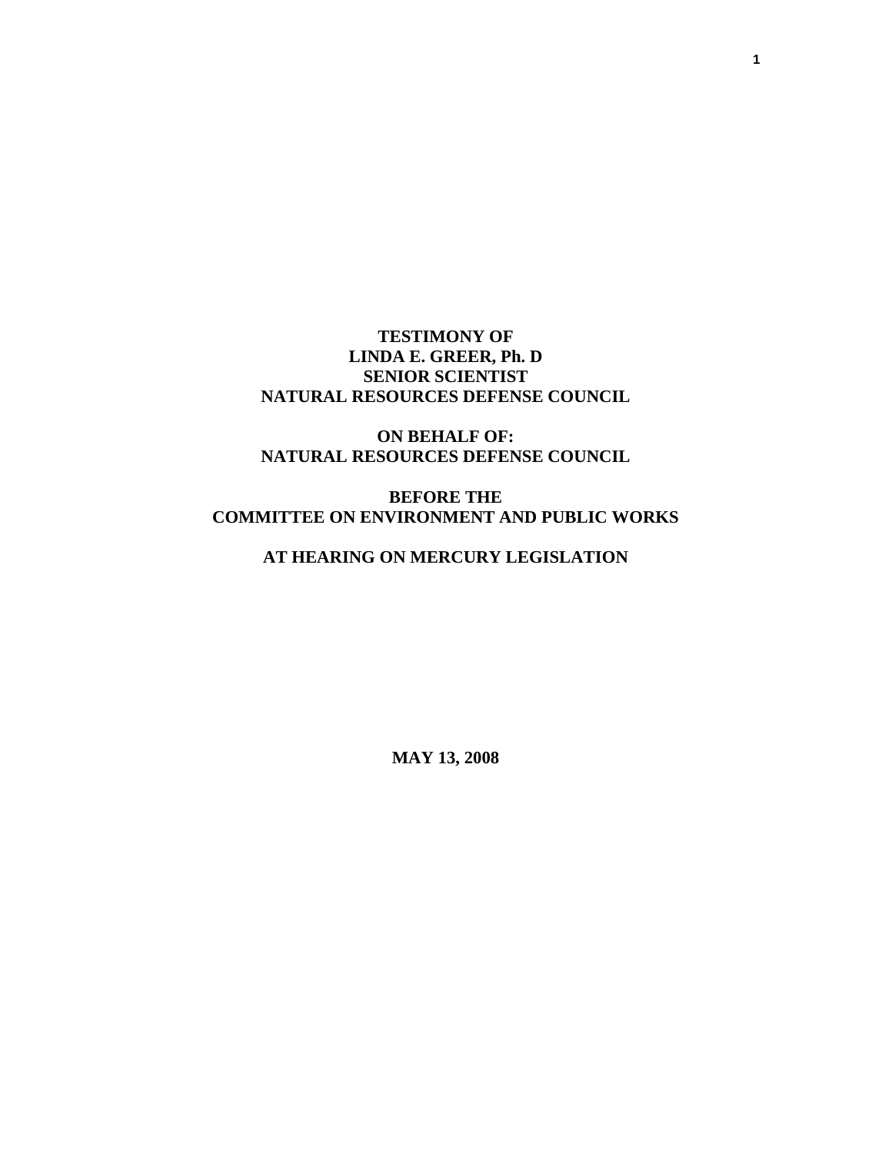### **TESTIMONY OF LINDA E. GREER, Ph. D SENIOR SCIENTIST NATURAL RESOURCES DEFENSE COUNCIL**

## **ON BEHALF OF: NATURAL RESOURCES DEFENSE COUNCIL**

# **BEFORE THE COMMITTEE ON ENVIRONMENT AND PUBLIC WORKS**

# **AT HEARING ON MERCURY LEGISLATION**

**MAY 13, 2008**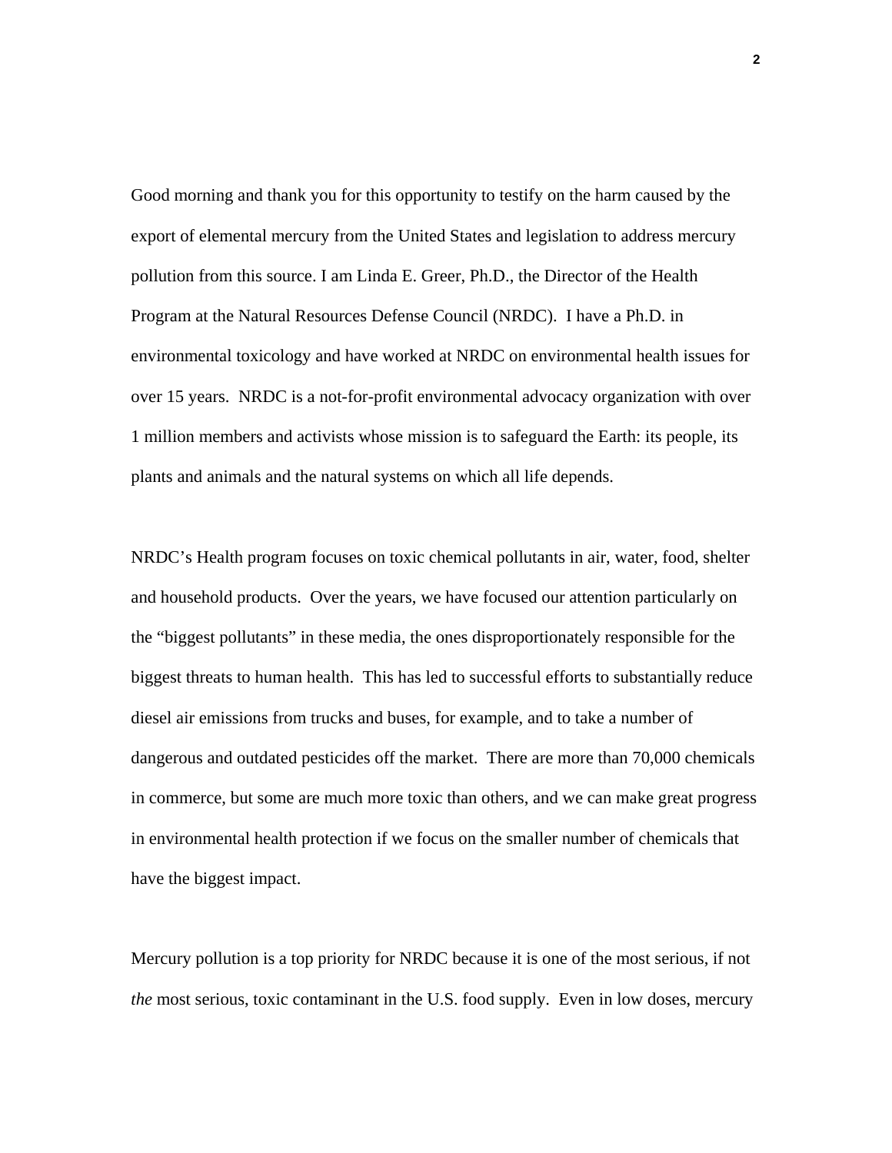Good morning and thank you for this opportunity to testify on the harm caused by the export of elemental mercury from the United States and legislation to address mercury pollution from this source. I am Linda E. Greer, Ph.D., the Director of the Health Program at the Natural Resources Defense Council (NRDC). I have a Ph.D. in environmental toxicology and have worked at NRDC on environmental health issues for over 15 years. NRDC is a not-for-profit environmental advocacy organization with over 1 million members and activists whose mission is to safeguard the Earth: its people, its plants and animals and the natural systems on which all life depends.

NRDC's Health program focuses on toxic chemical pollutants in air, water, food, shelter and household products. Over the years, we have focused our attention particularly on the "biggest pollutants" in these media, the ones disproportionately responsible for the biggest threats to human health. This has led to successful efforts to substantially reduce diesel air emissions from trucks and buses, for example, and to take a number of dangerous and outdated pesticides off the market. There are more than 70,000 chemicals in commerce, but some are much more toxic than others, and we can make great progress in environmental health protection if we focus on the smaller number of chemicals that have the biggest impact.

Mercury pollution is a top priority for NRDC because it is one of the most serious, if not *the* most serious, toxic contaminant in the U.S. food supply. Even in low doses, mercury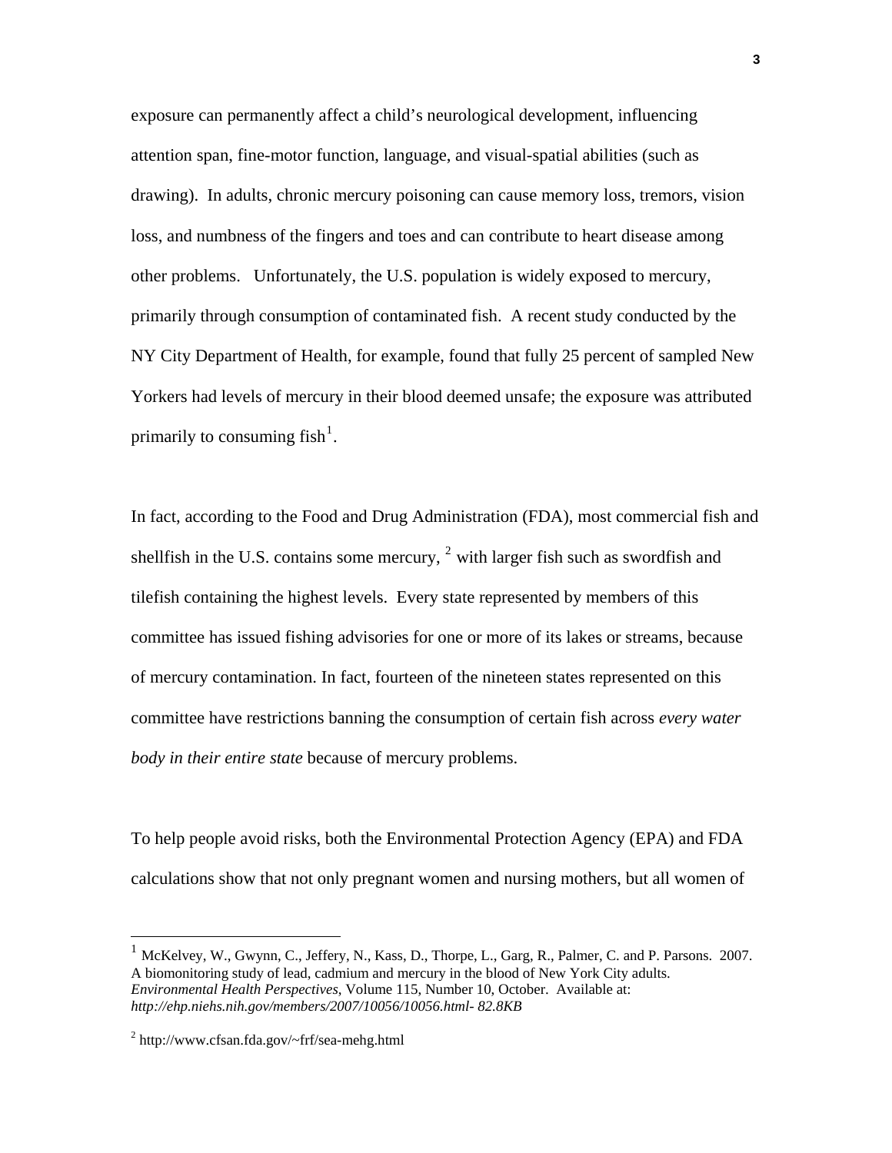exposure can permanently affect a child's neurological development, influencing attention span, fine-motor function, language, and visual-spatial abilities (such as drawing). In adults, chronic mercury poisoning can cause memory loss, tremors, vision loss, and numbness of the fingers and toes and can contribute to heart disease among other problems. Unfortunately, the U.S. population is widely exposed to mercury, primarily through consumption of contaminated fish. A recent study conducted by the NY City Department of Health, for example, found that fully 25 percent of sampled New Yorkers had levels of mercury in their blood deemed unsafe; the exposure was attributed primarily to consuming fish<sup>[1](#page-2-0)</sup>.

In fact, according to the Food and Drug Administration (FDA), most commercial fish and shell fish in the U.S. contains some mercury,  $2$  with larger fish such as sword fish and tilefish containing the highest levels. Every state represented by members of this committee has issued fishing advisories for one or more of its lakes or streams, because of mercury contamination. In fact, fourteen of the nineteen states represented on this committee have restrictions banning the consumption of certain fish across *every water body in their entire state* because of mercury problems.

To help people avoid risks, both the Environmental Protection Agency (EPA) and FDA calculations show that not only pregnant women and nursing mothers, but all women of

<span id="page-2-0"></span><sup>1</sup> McKelvey, W., Gwynn, C., Jeffery, N., Kass, D., Thorpe, L., Garg, R., Palmer, C. and P. Parsons. 2007. A biomonitoring study of lead, cadmium and mercury in the blood of New York City adults. *Environmental Health Perspectives*, Volume 115, Number 10, October. Available at: *http://ehp.niehs.nih.gov/members/2007/10056/10056.html- 82.8KB*

<span id="page-2-1"></span><sup>2</sup> http://www.cfsan.fda.gov/~frf/sea-mehg.html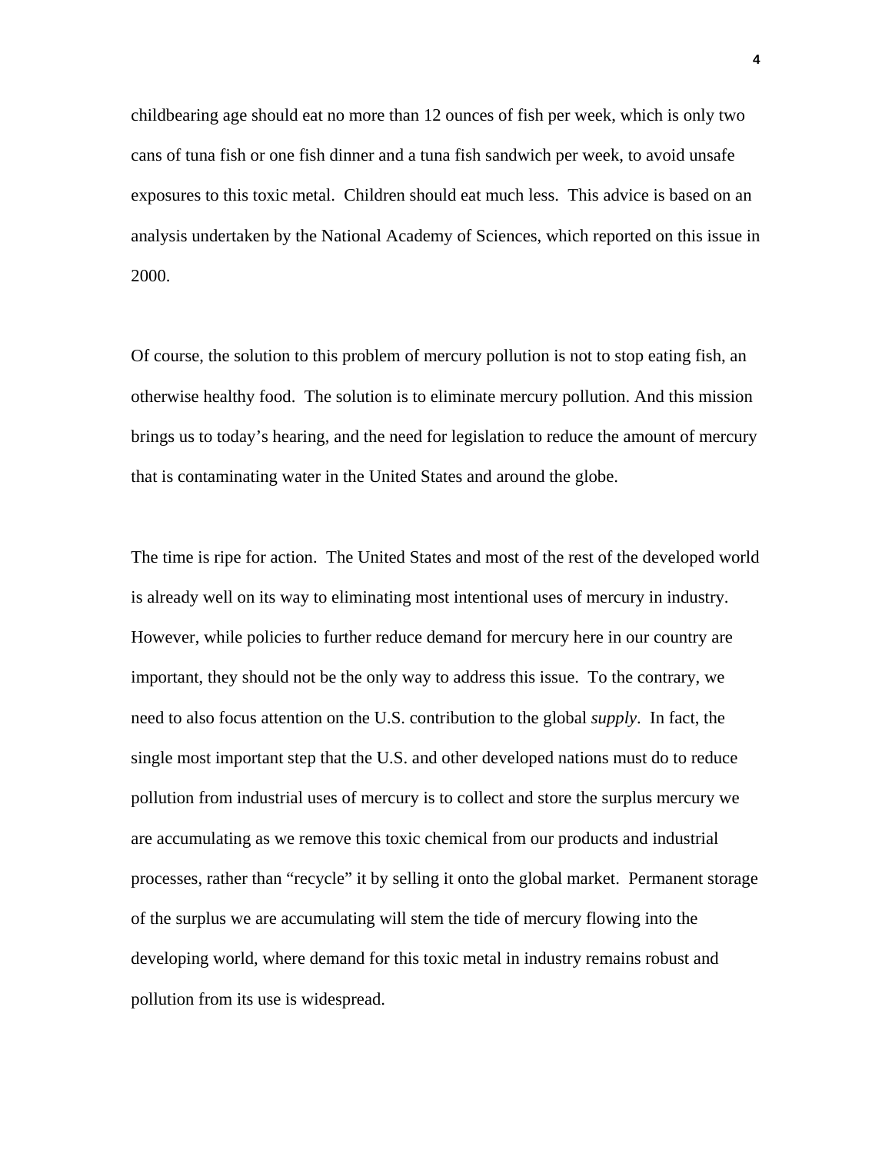childbearing age should eat no more than 12 ounces of fish per week, which is only two cans of tuna fish or one fish dinner and a tuna fish sandwich per week, to avoid unsafe exposures to this toxic metal. Children should eat much less. This advice is based on an analysis undertaken by the National Academy of Sciences, which reported on this issue in 2000.

Of course, the solution to this problem of mercury pollution is not to stop eating fish, an otherwise healthy food. The solution is to eliminate mercury pollution. And this mission brings us to today's hearing, and the need for legislation to reduce the amount of mercury that is contaminating water in the United States and around the globe.

The time is ripe for action. The United States and most of the rest of the developed world is already well on its way to eliminating most intentional uses of mercury in industry. However, while policies to further reduce demand for mercury here in our country are important, they should not be the only way to address this issue. To the contrary, we need to also focus attention on the U.S. contribution to the global *supply*. In fact, the single most important step that the U.S. and other developed nations must do to reduce pollution from industrial uses of mercury is to collect and store the surplus mercury we are accumulating as we remove this toxic chemical from our products and industrial processes, rather than "recycle" it by selling it onto the global market. Permanent storage of the surplus we are accumulating will stem the tide of mercury flowing into the developing world, where demand for this toxic metal in industry remains robust and pollution from its use is widespread.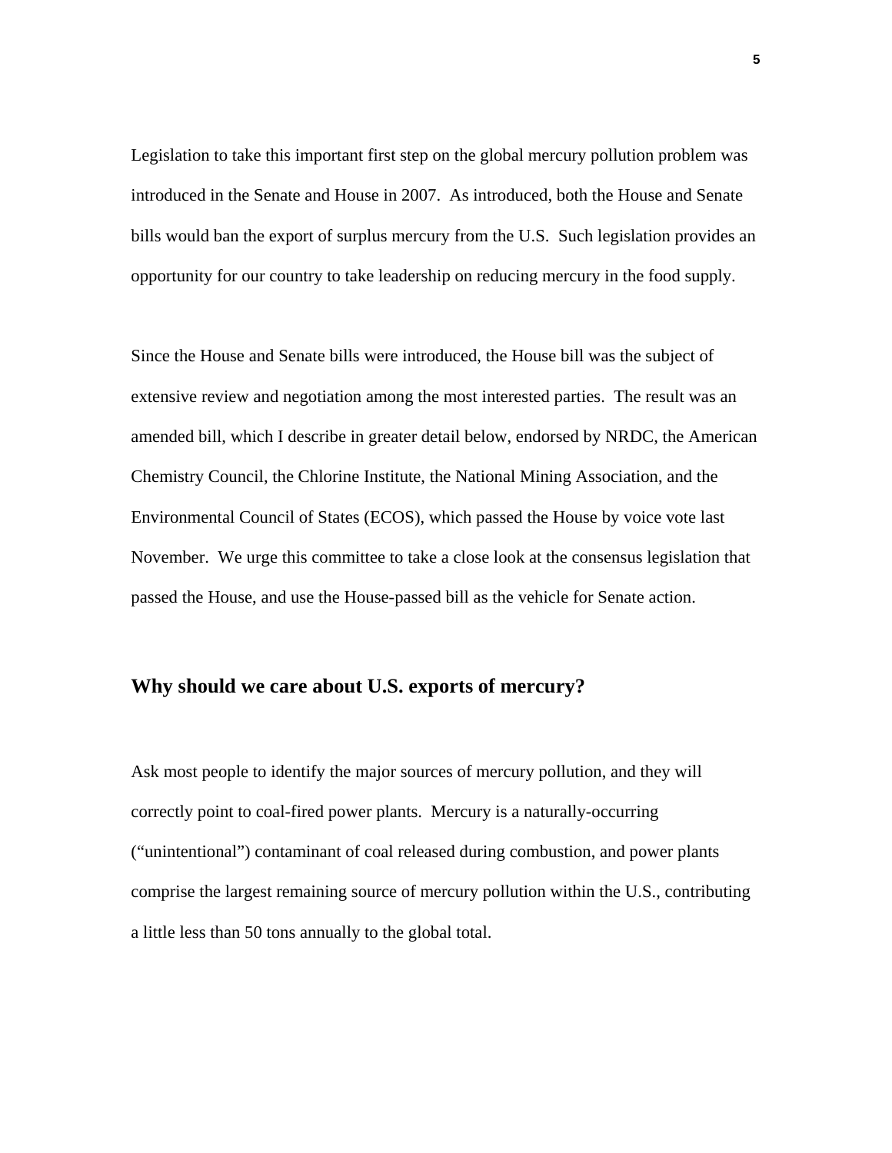Legislation to take this important first step on the global mercury pollution problem was introduced in the Senate and House in 2007. As introduced, both the House and Senate bills would ban the export of surplus mercury from the U.S. Such legislation provides an opportunity for our country to take leadership on reducing mercury in the food supply.

Since the House and Senate bills were introduced, the House bill was the subject of extensive review and negotiation among the most interested parties. The result was an amended bill, which I describe in greater detail below, endorsed by NRDC, the American Chemistry Council, the Chlorine Institute, the National Mining Association, and the Environmental Council of States (ECOS), which passed the House by voice vote last November. We urge this committee to take a close look at the consensus legislation that passed the House, and use the House-passed bill as the vehicle for Senate action.

#### **Why should we care about U.S. exports of mercury?**

Ask most people to identify the major sources of mercury pollution, and they will correctly point to coal-fired power plants. Mercury is a naturally-occurring ("unintentional") contaminant of coal released during combustion, and power plants comprise the largest remaining source of mercury pollution within the U.S., contributing a little less than 50 tons annually to the global total.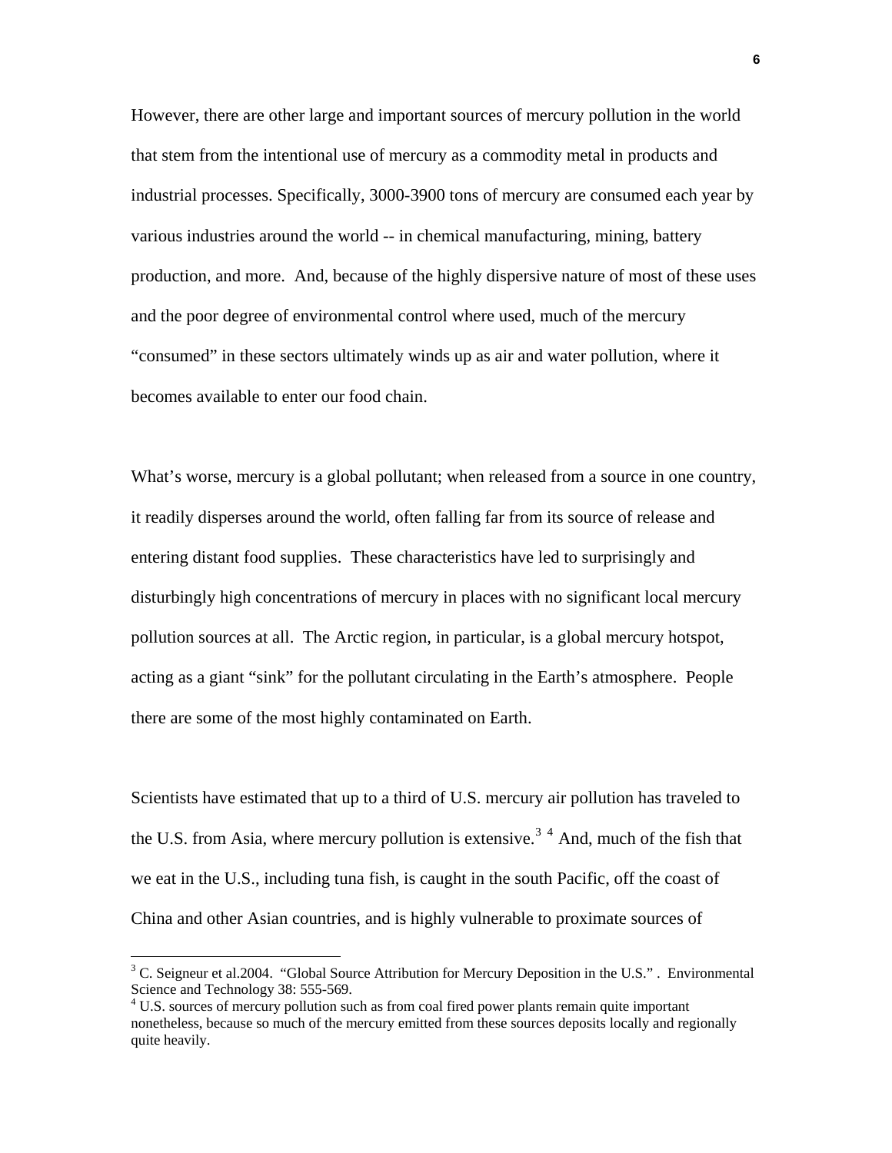However, there are other large and important sources of mercury pollution in the world that stem from the intentional use of mercury as a commodity metal in products and industrial processes. Specifically, 3000-3900 tons of mercury are consumed each year by various industries around the world -- in chemical manufacturing, mining, battery production, and more. And, because of the highly dispersive nature of most of these uses and the poor degree of environmental control where used, much of the mercury "consumed" in these sectors ultimately winds up as air and water pollution, where it becomes available to enter our food chain.

What's worse, mercury is a global pollutant; when released from a source in one country, it readily disperses around the world, often falling far from its source of release and entering distant food supplies. These characteristics have led to surprisingly and disturbingly high concentrations of mercury in places with no significant local mercury pollution sources at all. The Arctic region, in particular, is a global mercury hotspot, acting as a giant "sink" for the pollutant circulating in the Earth's atmosphere. People there are some of the most highly contaminated on Earth.

Scientists have estimated that up to a third of U.S. mercury air pollution has traveled to the U.S. from Asia, where mercury pollution is extensive.<sup>[3](#page-5-0) [4](#page-5-1)</sup> And, much of the fish that we eat in the U.S., including tuna fish, is caught in the south Pacific, off the coast of China and other Asian countries, and is highly vulnerable to proximate sources of

<span id="page-5-0"></span> $3^3$  C. Seigneur et al.2004. "Global Source Attribution for Mercury Deposition in the U.S.". Environmental Science and Technology 38: 555-569.

<span id="page-5-1"></span><sup>&</sup>lt;sup>4</sup> U.S. sources of mercury pollution such as from coal fired power plants remain quite important nonetheless, because so much of the mercury emitted from these sources deposits locally and regionally quite heavily.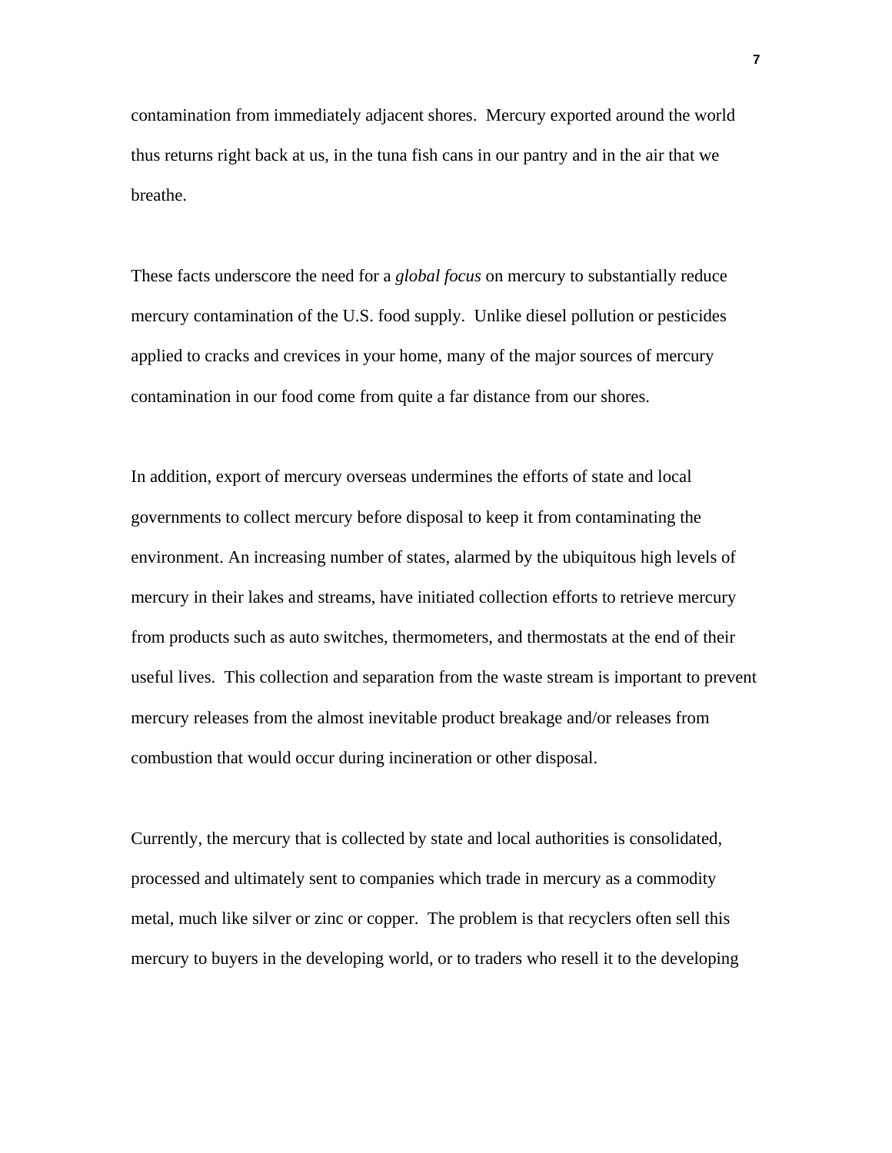contamination from immediately adjacent shores. Mercury exported around the world thus returns right back at us, in the tuna fish cans in our pantry and in the air that we breathe.

These facts underscore the need for a *global focus* on mercury to substantially reduce mercury contamination of the U.S. food supply. Unlike diesel pollution or pesticides applied to cracks and crevices in your home, many of the major sources of mercury contamination in our food come from quite a far distance from our shores.

In addition, export of mercury overseas undermines the efforts of state and local governments to collect mercury before disposal to keep it from contaminating the environment. An increasing number of states, alarmed by the ubiquitous high levels of mercury in their lakes and streams, have initiated collection efforts to retrieve mercury from products such as auto switches, thermometers, and thermostats at the end of their useful lives. This collection and separation from the waste stream is important to prevent mercury releases from the almost inevitable product breakage and/or releases from combustion that would occur during incineration or other disposal.

Currently, the mercury that is collected by state and local authorities is consolidated, processed and ultimately sent to companies which trade in mercury as a commodity metal, much like silver or zinc or copper. The problem is that recyclers often sell this mercury to buyers in the developing world, or to traders who resell it to the developing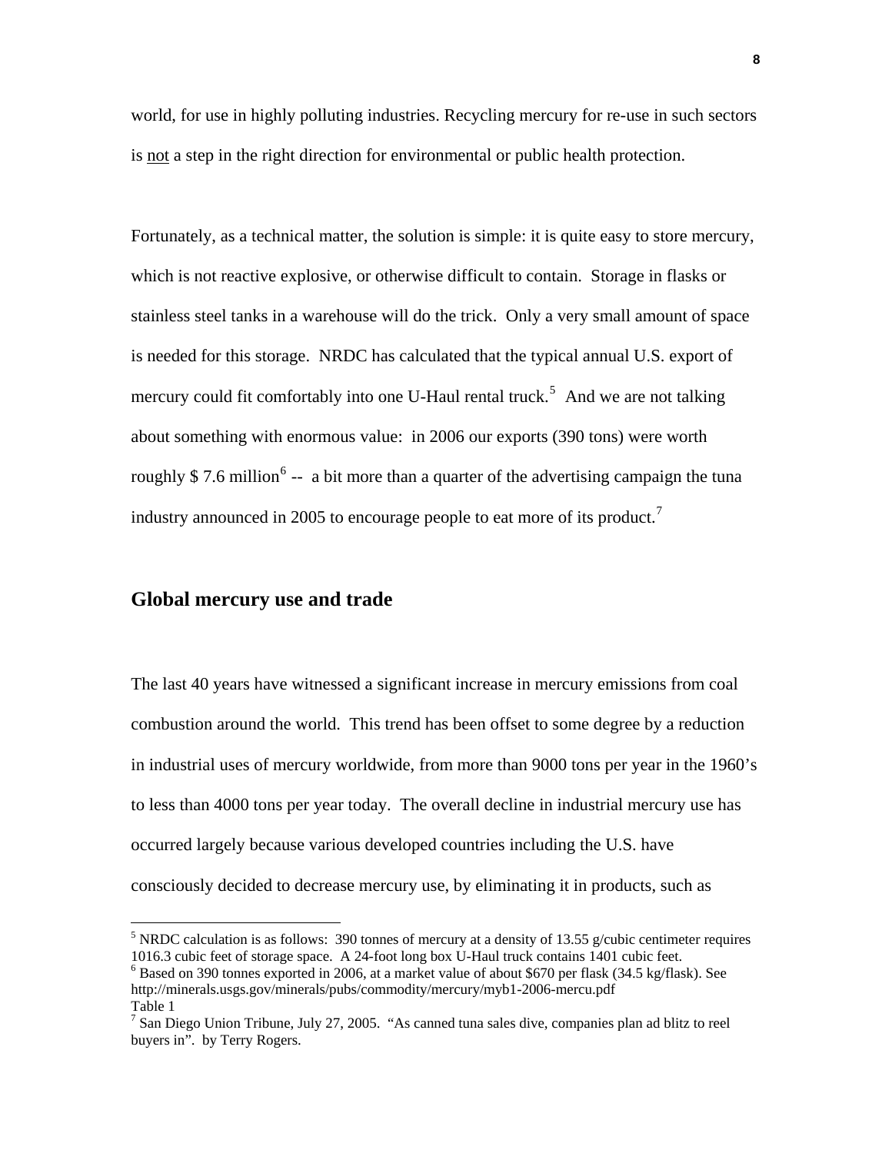world, for use in highly polluting industries. Recycling mercury for re-use in such sectors is not a step in the right direction for environmental or public health protection.

Fortunately, as a technical matter, the solution is simple: it is quite easy to store mercury, which is not reactive explosive, or otherwise difficult to contain. Storage in flasks or stainless steel tanks in a warehouse will do the trick. Only a very small amount of space is needed for this storage. NRDC has calculated that the typical annual U.S. export of mercury could fit comfortably into one U-Haul rental truck.<sup>[5](#page-7-0)</sup> And we are not talking about something with enormous value: in 2006 our exports (390 tons) were worth roughly \$7.[6](#page-7-1) million<sup>6</sup> -- a bit more than a quarter of the advertising campaign the tuna industry announced in 2005 to encourage people to eat more of its product.<sup>[7](#page-7-2)</sup>

#### **Global mercury use and trade**

 $\overline{a}$ 

The last 40 years have witnessed a significant increase in mercury emissions from coal combustion around the world. This trend has been offset to some degree by a reduction in industrial uses of mercury worldwide, from more than 9000 tons per year in the 1960's to less than 4000 tons per year today. The overall decline in industrial mercury use has occurred largely because various developed countries including the U.S. have consciously decided to decrease mercury use, by eliminating it in products, such as

<span id="page-7-0"></span><sup>&</sup>lt;sup>5</sup> NRDC calculation is as follows: 390 tonnes of mercury at a density of 13.55 g/cubic centimeter requires 1016.3 cubic feet of storage space. A 24-foot long box U-Haul truck contains 1401 cubic feet. 6

<span id="page-7-1"></span><sup>&</sup>lt;sup>6</sup> Based on 390 tonnes exported in 2006, at a market value of about \$670 per flask (34.5 kg/flask). See http://minerals.usgs.gov/minerals/pubs/commodity/mercury/myb1-2006-mercu.pdf Table 1

<span id="page-7-2"></span><sup>&</sup>lt;sup>7</sup> San Diego Union Tribune, July 27, 2005. "As canned tuna sales dive, companies plan ad blitz to reel buyers in". by Terry Rogers.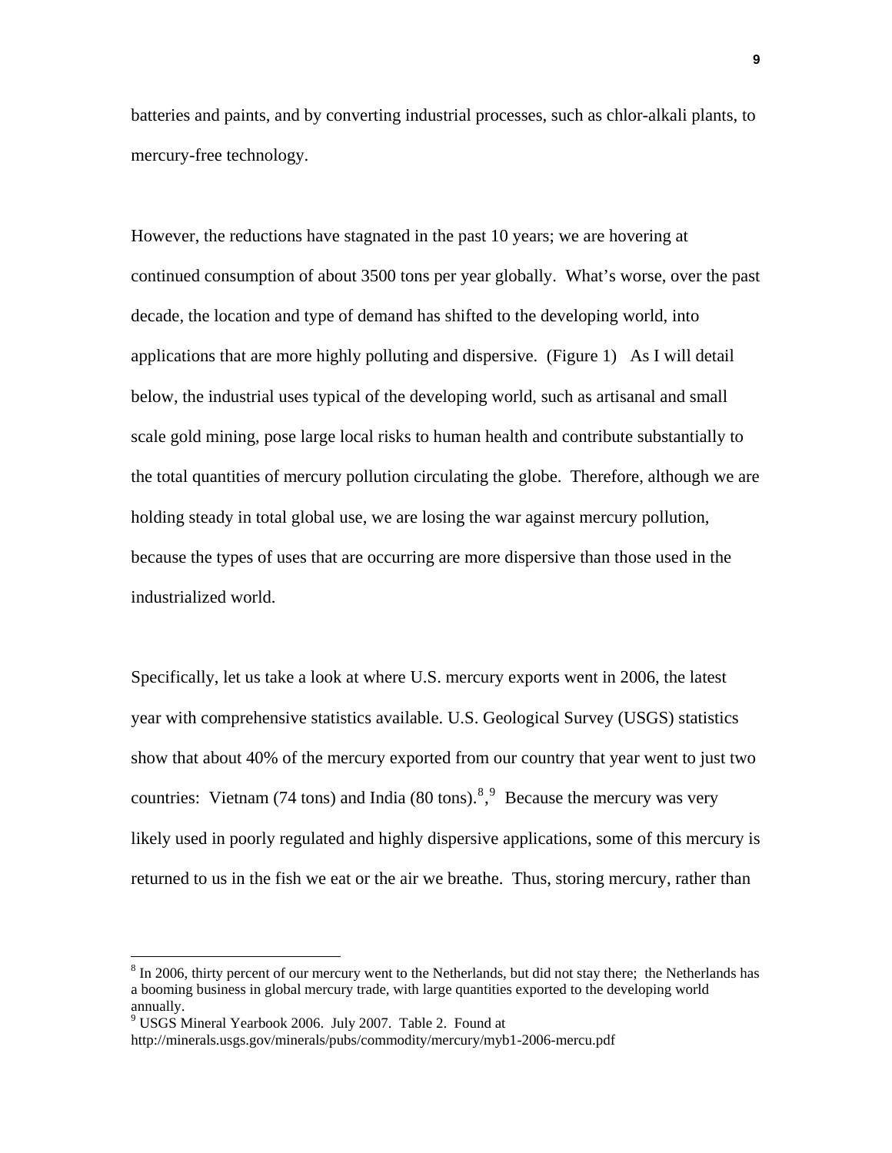batteries and paints, and by converting industrial processes, such as chlor-alkali plants, to mercury-free technology.

However, the reductions have stagnated in the past 10 years; we are hovering at continued consumption of about 3500 tons per year globally. What's worse, over the past decade, the location and type of demand has shifted to the developing world, into applications that are more highly polluting and dispersive. (Figure 1) As I will detail below, the industrial uses typical of the developing world, such as artisanal and small scale gold mining, pose large local risks to human health and contribute substantially to the total quantities of mercury pollution circulating the globe. Therefore, although we are holding steady in total global use, we are losing the war against mercury pollution, because the types of uses that are occurring are more dispersive than those used in the industrialized world.

Specifically, let us take a look at where U.S. mercury exports went in 2006, the latest year with comprehensive statistics available. U.S. Geological Survey (USGS) statistics show that about 40% of the mercury exported from our country that year went to just two countries: Vietnam (74 tons) and India ([8](#page-8-0)0 tons).<sup>8,[9](#page-8-1)</sup> Because the mercury was very likely used in poorly regulated and highly dispersive applications, some of this mercury is returned to us in the fish we eat or the air we breathe. Thus, storing mercury, rather than

<span id="page-8-0"></span> $8 \text{ In } 2006$ , thirty percent of our mercury went to the Netherlands, but did not stay there; the Netherlands has a booming business in global mercury trade, with large quantities exported to the developing world annually.

<span id="page-8-1"></span><sup>&</sup>lt;sup>9</sup> USGS Mineral Yearbook 2006. July 2007. Table 2. Found at

http://minerals.usgs.gov/minerals/pubs/commodity/mercury/myb1-2006-mercu.pdf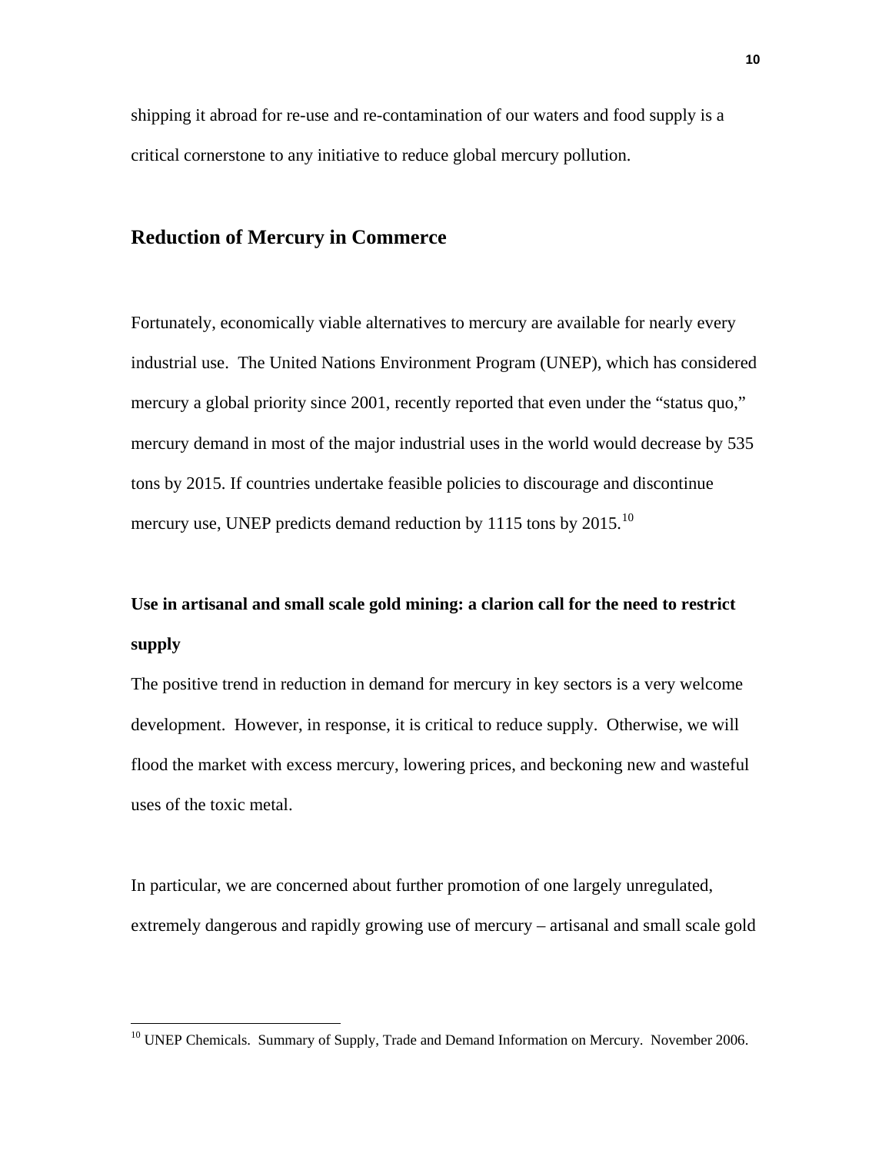shipping it abroad for re-use and re-contamination of our waters and food supply is a critical cornerstone to any initiative to reduce global mercury pollution.

#### **Reduction of Mercury in Commerce**

Fortunately, economically viable alternatives to mercury are available for nearly every industrial use. The United Nations Environment Program (UNEP), which has considered mercury a global priority since 2001, recently reported that even under the "status quo," mercury demand in most of the major industrial uses in the world would decrease by 535 tons by 2015. If countries undertake feasible policies to discourage and discontinue mercury use, UNEP predicts demand reduction by 1115 tons by 2015.<sup>[10](#page-9-0)</sup>

# **Use in artisanal and small scale gold mining: a clarion call for the need to restrict supply**

The positive trend in reduction in demand for mercury in key sectors is a very welcome development. However, in response, it is critical to reduce supply. Otherwise, we will flood the market with excess mercury, lowering prices, and beckoning new and wasteful uses of the toxic metal.

In particular, we are concerned about further promotion of one largely unregulated, extremely dangerous and rapidly growing use of mercury – artisanal and small scale gold

<u>.</u>

<span id="page-9-0"></span><sup>&</sup>lt;sup>10</sup> UNEP Chemicals. Summary of Supply, Trade and Demand Information on Mercury. November 2006.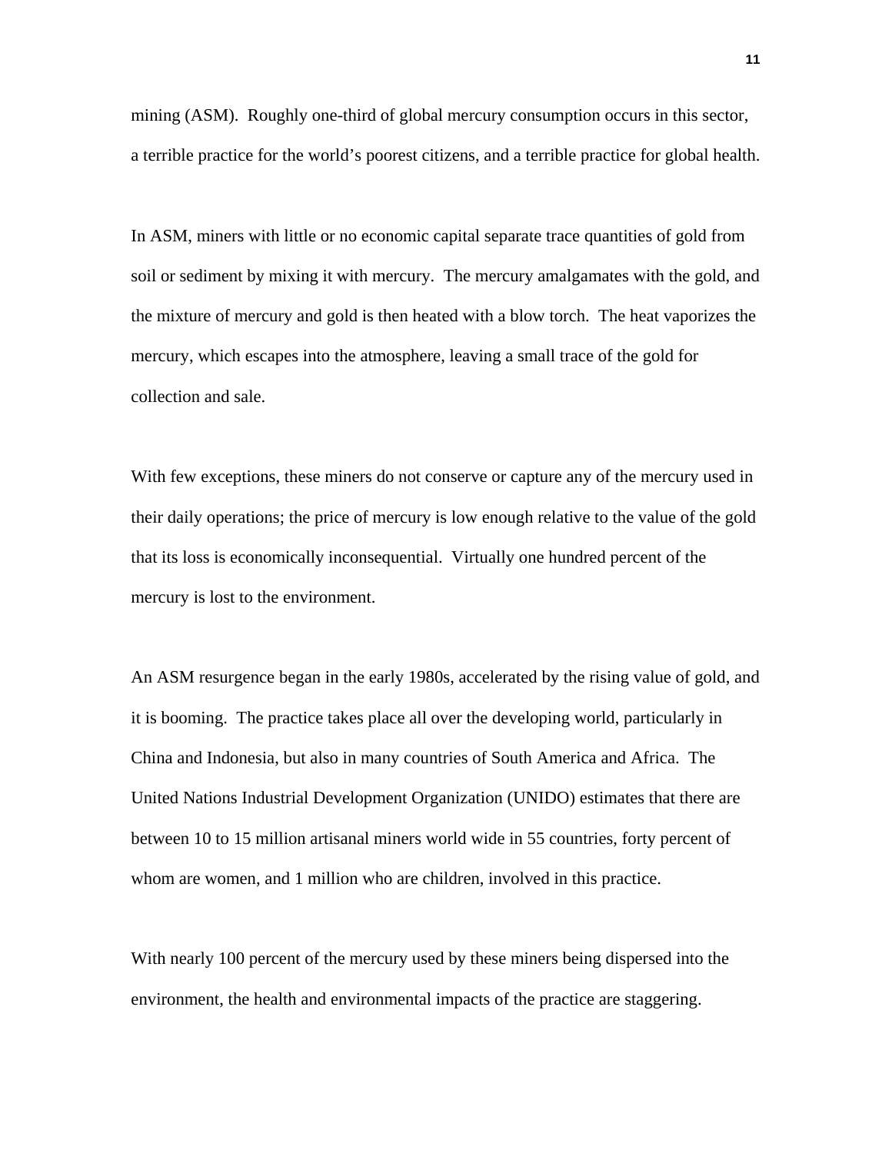mining (ASM). Roughly one-third of global mercury consumption occurs in this sector, a terrible practice for the world's poorest citizens, and a terrible practice for global health.

In ASM, miners with little or no economic capital separate trace quantities of gold from soil or sediment by mixing it with mercury. The mercury amalgamates with the gold, and the mixture of mercury and gold is then heated with a blow torch. The heat vaporizes the mercury, which escapes into the atmosphere, leaving a small trace of the gold for collection and sale.

With few exceptions, these miners do not conserve or capture any of the mercury used in their daily operations; the price of mercury is low enough relative to the value of the gold that its loss is economically inconsequential. Virtually one hundred percent of the mercury is lost to the environment.

An ASM resurgence began in the early 1980s, accelerated by the rising value of gold, and it is booming. The practice takes place all over the developing world, particularly in China and Indonesia, but also in many countries of South America and Africa. The United Nations Industrial Development Organization (UNIDO) estimates that there are between 10 to 15 million artisanal miners world wide in 55 countries, forty percent of whom are women, and 1 million who are children, involved in this practice.

With nearly 100 percent of the mercury used by these miners being dispersed into the environment, the health and environmental impacts of the practice are staggering.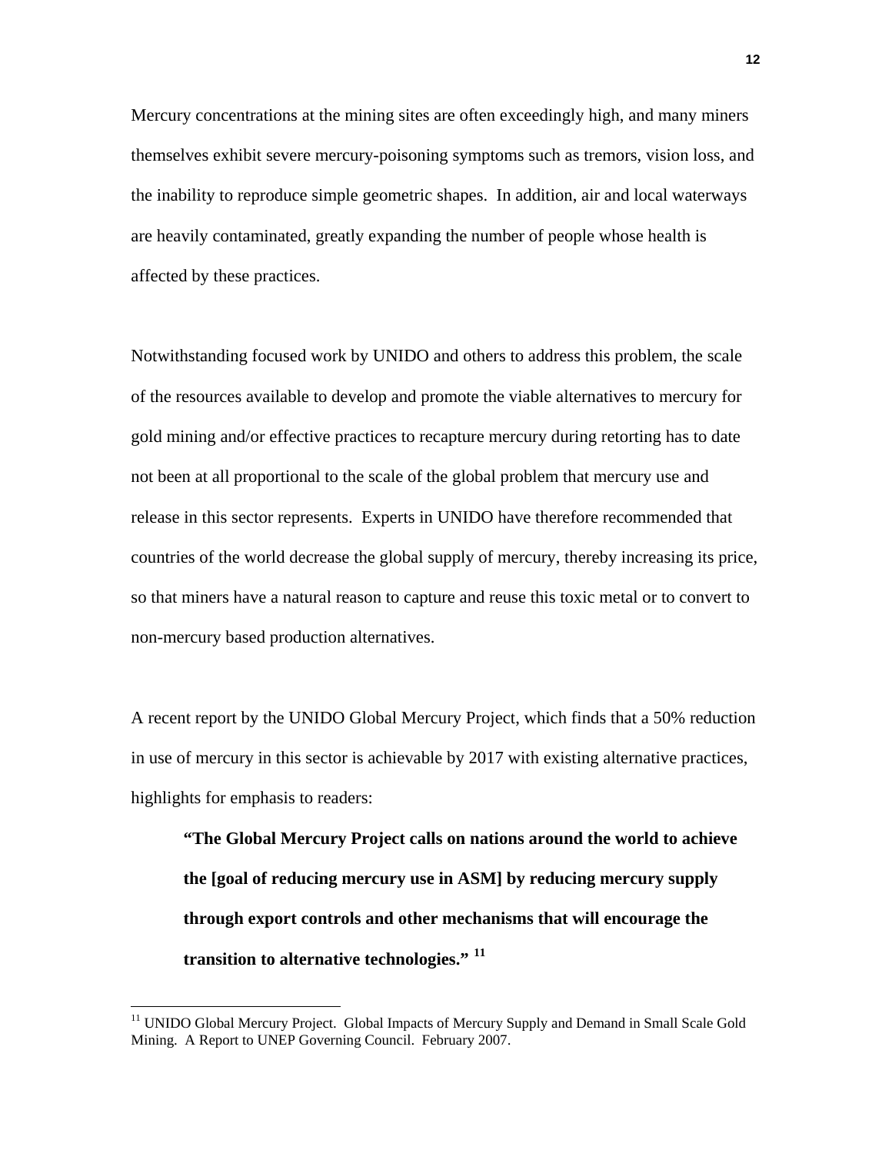Mercury concentrations at the mining sites are often exceedingly high, and many miners themselves exhibit severe mercury-poisoning symptoms such as tremors, vision loss, and the inability to reproduce simple geometric shapes. In addition, air and local waterways are heavily contaminated, greatly expanding the number of people whose health is affected by these practices.

Notwithstanding focused work by UNIDO and others to address this problem, the scale of the resources available to develop and promote the viable alternatives to mercury for gold mining and/or effective practices to recapture mercury during retorting has to date not been at all proportional to the scale of the global problem that mercury use and release in this sector represents. Experts in UNIDO have therefore recommended that countries of the world decrease the global supply of mercury, thereby increasing its price, so that miners have a natural reason to capture and reuse this toxic metal or to convert to non-mercury based production alternatives.

A recent report by the UNIDO Global Mercury Project, which finds that a 50% reduction in use of mercury in this sector is achievable by 2017 with existing alternative practices, highlights for emphasis to readers:

**"The Global Mercury Project calls on nations around the world to achieve the [goal of reducing mercury use in ASM] by reducing mercury supply through export controls and other mechanisms that will encourage the transition to alternative technologies." [11](#page-11-0)**

1

<span id="page-11-0"></span><sup>&</sup>lt;sup>11</sup> UNIDO Global Mercury Project. Global Impacts of Mercury Supply and Demand in Small Scale Gold Mining. A Report to UNEP Governing Council. February 2007.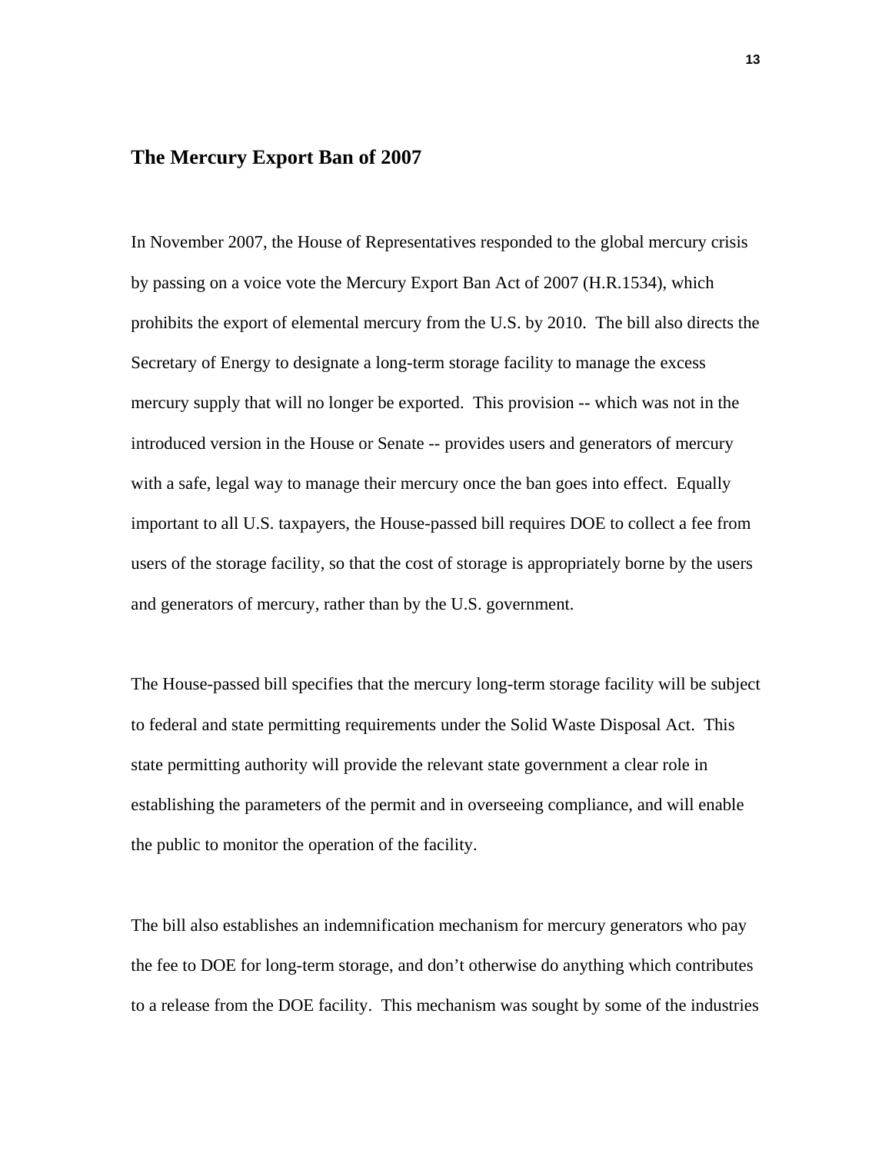#### **The Mercury Export Ban of 2007**

In November 2007, the House of Representatives responded to the global mercury crisis by passing on a voice vote the Mercury Export Ban Act of 2007 (H.R.1534), which prohibits the export of elemental mercury from the U.S. by 2010. The bill also directs the Secretary of Energy to designate a long-term storage facility to manage the excess mercury supply that will no longer be exported. This provision -- which was not in the introduced version in the House or Senate -- provides users and generators of mercury with a safe, legal way to manage their mercury once the ban goes into effect. Equally important to all U.S. taxpayers, the House-passed bill requires DOE to collect a fee from users of the storage facility, so that the cost of storage is appropriately borne by the users and generators of mercury, rather than by the U.S. government.

The House-passed bill specifies that the mercury long-term storage facility will be subject to federal and state permitting requirements under the Solid Waste Disposal Act. This state permitting authority will provide the relevant state government a clear role in establishing the parameters of the permit and in overseeing compliance, and will enable the public to monitor the operation of the facility.

The bill also establishes an indemnification mechanism for mercury generators who pay the fee to DOE for long-term storage, and don't otherwise do anything which contributes to a release from the DOE facility. This mechanism was sought by some of the industries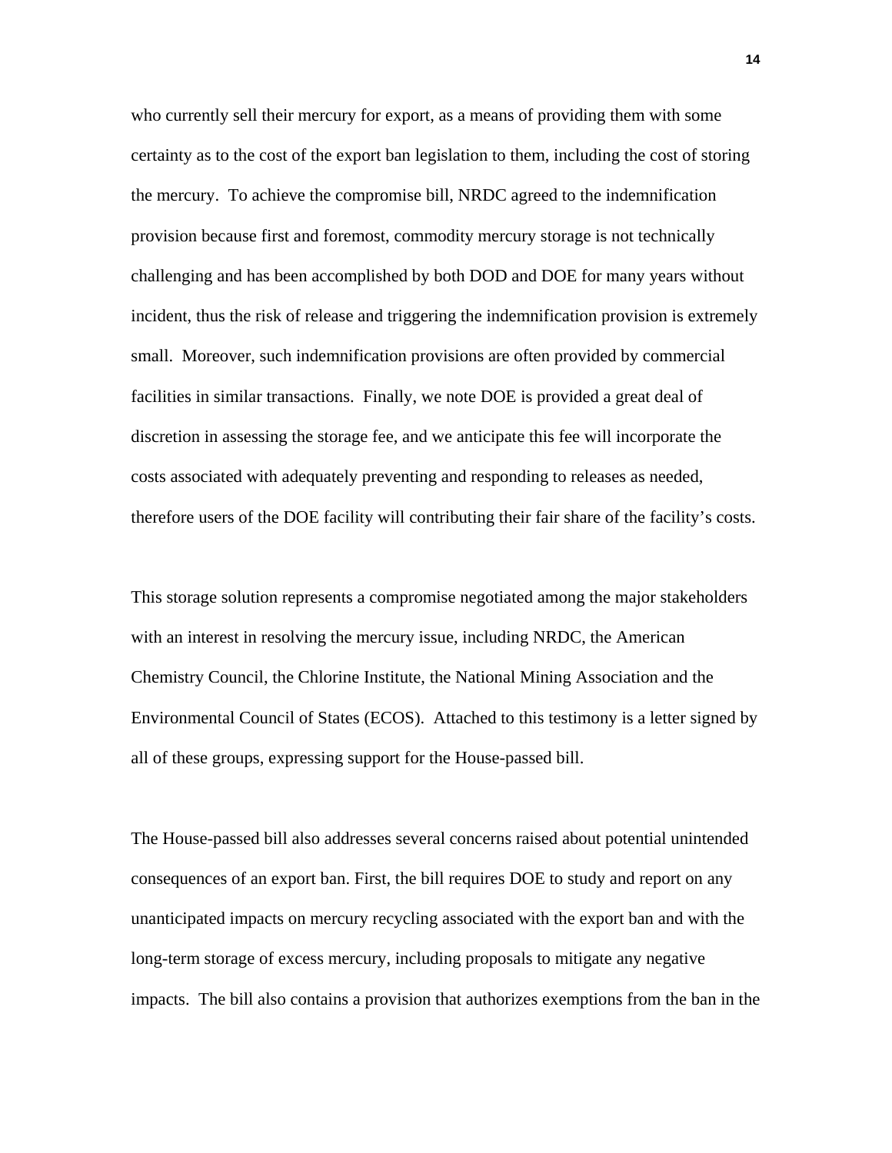who currently sell their mercury for export, as a means of providing them with some certainty as to the cost of the export ban legislation to them, including the cost of storing the mercury. To achieve the compromise bill, NRDC agreed to the indemnification provision because first and foremost, commodity mercury storage is not technically challenging and has been accomplished by both DOD and DOE for many years without incident, thus the risk of release and triggering the indemnification provision is extremely small. Moreover, such indemnification provisions are often provided by commercial facilities in similar transactions. Finally, we note DOE is provided a great deal of discretion in assessing the storage fee, and we anticipate this fee will incorporate the costs associated with adequately preventing and responding to releases as needed, therefore users of the DOE facility will contributing their fair share of the facility's costs.

This storage solution represents a compromise negotiated among the major stakeholders with an interest in resolving the mercury issue, including NRDC, the American Chemistry Council, the Chlorine Institute, the National Mining Association and the Environmental Council of States (ECOS). Attached to this testimony is a letter signed by all of these groups, expressing support for the House-passed bill.

The House-passed bill also addresses several concerns raised about potential unintended consequences of an export ban. First, the bill requires DOE to study and report on any unanticipated impacts on mercury recycling associated with the export ban and with the long-term storage of excess mercury, including proposals to mitigate any negative impacts. The bill also contains a provision that authorizes exemptions from the ban in the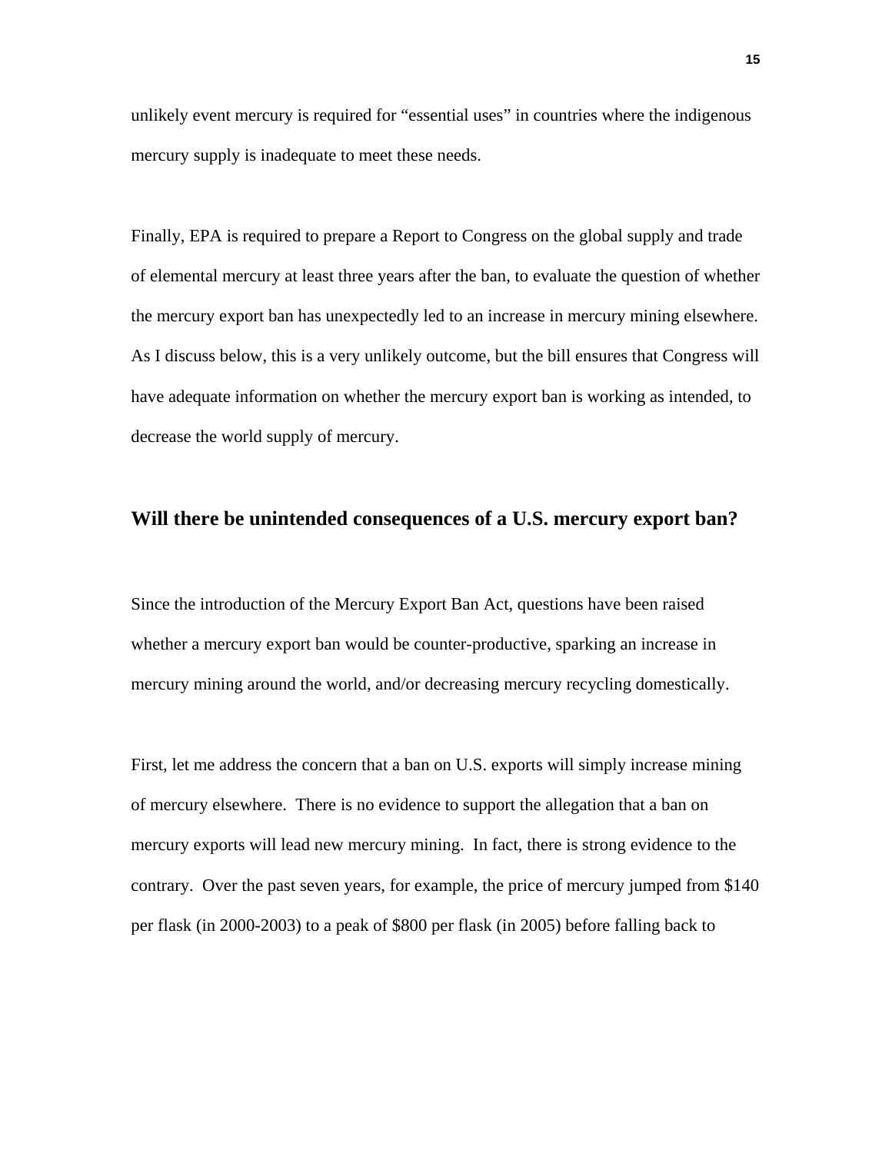unlikely event mercury is required for "essential uses" in countries where the indigenous mercury supply is inadequate to meet these needs.

Finally, EPA is required to prepare a Report to Congress on the global supply and trade of elemental mercury at least three years after the ban, to evaluate the question of whether the mercury export ban has unexpectedly led to an increase in mercury mining elsewhere. As I discuss below, this is a very unlikely outcome, but the bill ensures that Congress will have adequate information on whether the mercury export ban is working as intended, to decrease the world supply of mercury.

#### **Will there be unintended consequences of a U.S. mercury export ban?**

Since the introduction of the Mercury Export Ban Act, questions have been raised whether a mercury export ban would be counter-productive, sparking an increase in mercury mining around the world, and/or decreasing mercury recycling domestically.

First, let me address the concern that a ban on U.S. exports will simply increase mining of mercury elsewhere. There is no evidence to support the allegation that a ban on mercury exports will lead new mercury mining. In fact, there is strong evidence to the contrary. Over the past seven years, for example, the price of mercury jumped from \$140 per flask (in 2000-2003) to a peak of \$800 per flask (in 2005) before falling back to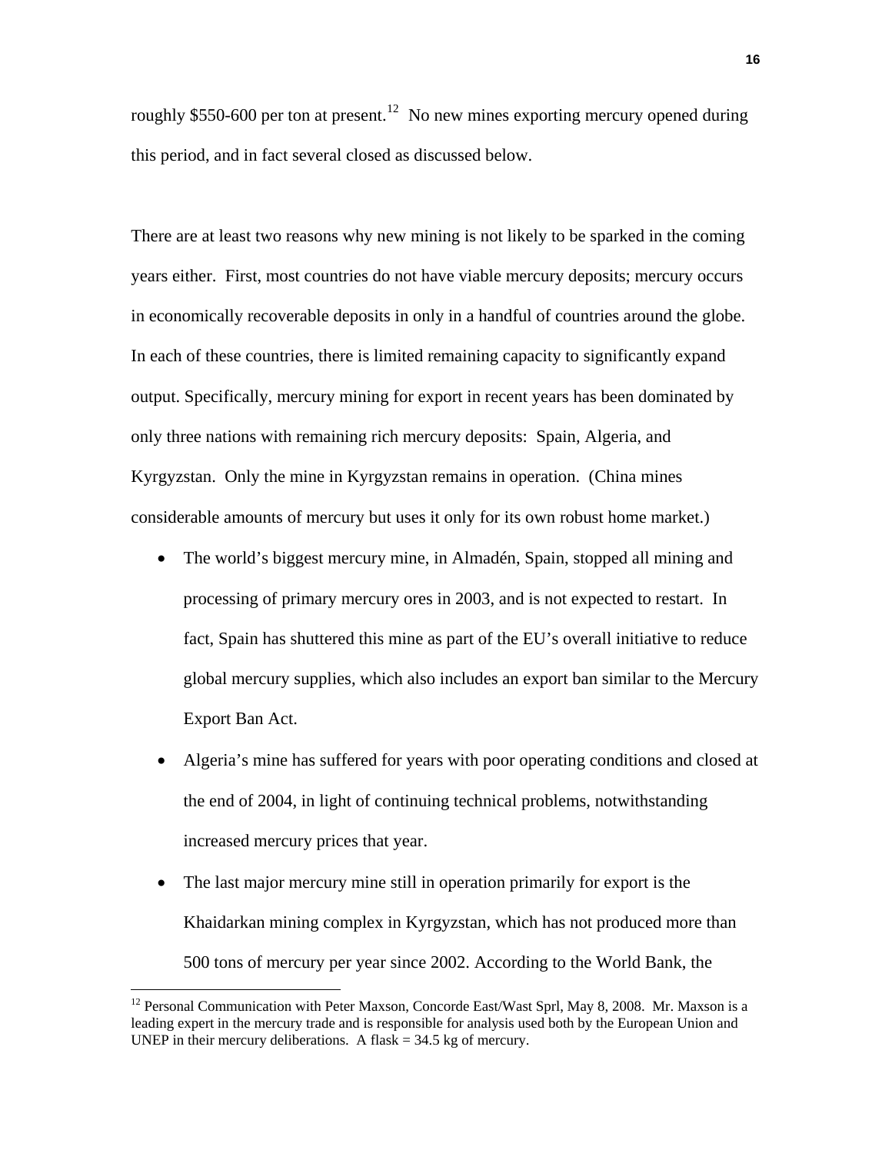roughly \$550-600 per ton at present.<sup>[12](#page-15-0)</sup> No new mines exporting mercury opened during this period, and in fact several closed as discussed below.

There are at least two reasons why new mining is not likely to be sparked in the coming years either. First, most countries do not have viable mercury deposits; mercury occurs in economically recoverable deposits in only in a handful of countries around the globe. In each of these countries, there is limited remaining capacity to significantly expand output. Specifically, mercury mining for export in recent years has been dominated by only three nations with remaining rich mercury deposits: Spain, Algeria, and Kyrgyzstan. Only the mine in Kyrgyzstan remains in operation. (China mines considerable amounts of mercury but uses it only for its own robust home market.)

- The world's biggest mercury mine, in Almadén, Spain, stopped all mining and processing of primary mercury ores in 2003, and is not expected to restart. In fact, Spain has shuttered this mine as part of the EU's overall initiative to reduce global mercury supplies, which also includes an export ban similar to the Mercury Export Ban Act.
- Algeria's mine has suffered for years with poor operating conditions and closed at the end of 2004, in light of continuing technical problems, notwithstanding increased mercury prices that year.
- The last major mercury mine still in operation primarily for export is the Khaidarkan mining complex in Kyrgyzstan, which has not produced more than 500 tons of mercury per year since 2002. According to the World Bank, the

<span id="page-15-0"></span><sup>&</sup>lt;sup>12</sup> Personal Communication with Peter Maxson, Concorde East/Wast Sprl, May 8, 2008. Mr. Maxson is a leading expert in the mercury trade and is responsible for analysis used both by the European Union and UNEP in their mercury deliberations. A flask  $=$  34.5 kg of mercury.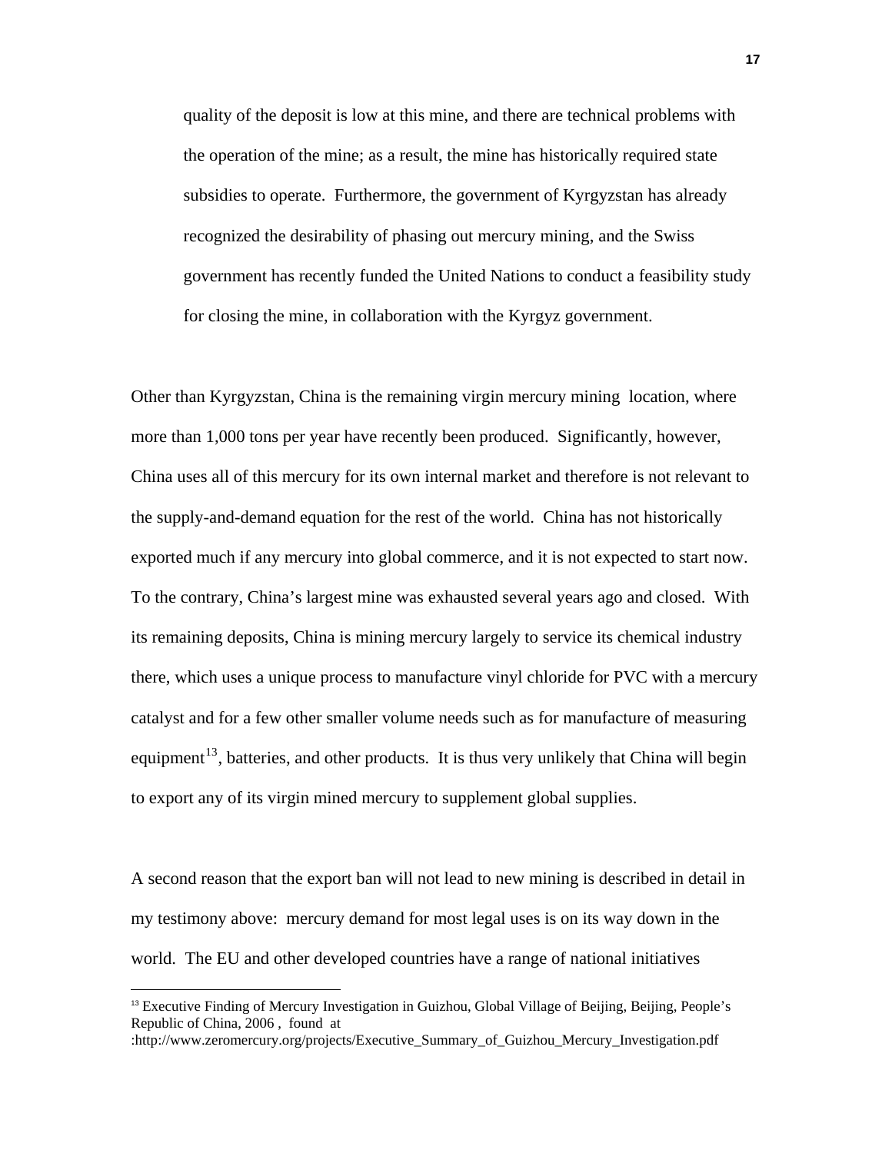quality of the deposit is low at this mine, and there are technical problems with the operation of the mine; as a result, the mine has historically required state subsidies to operate. Furthermore, the government of Kyrgyzstan has already recognized the desirability of phasing out mercury mining, and the Swiss government has recently funded the United Nations to conduct a feasibility study for closing the mine, in collaboration with the Kyrgyz government.

Other than Kyrgyzstan, China is the remaining virgin mercury mining location, where more than 1,000 tons per year have recently been produced. Significantly, however, China uses all of this mercury for its own internal market and therefore is not relevant to the supply-and-demand equation for the rest of the world. China has not historically exported much if any mercury into global commerce, and it is not expected to start now. To the contrary, China's largest mine was exhausted several years ago and closed. With its remaining deposits, China is mining mercury largely to service its chemical industry there, which uses a unique process to manufacture vinyl chloride for PVC with a mercury catalyst and for a few other smaller volume needs such as for manufacture of measuring equipment<sup>[13](#page-16-0)</sup>, batteries, and other products. It is thus very unlikely that China will begin to export any of its virgin mined mercury to supplement global supplies.

A second reason that the export ban will not lead to new mining is described in detail in my testimony above: mercury demand for most legal uses is on its way down in the world. The EU and other developed countries have a range of national initiatives

<span id="page-16-0"></span><sup>13</sup> Executive Finding of Mercury Investigation in Guizhou, Global Village of Beijing, Beijing, People's Republic of China, 2006 , found at

<sup>:</sup>http://www.zeromercury.org/projects/Executive\_Summary\_of\_Guizhou\_Mercury\_Investigation.pdf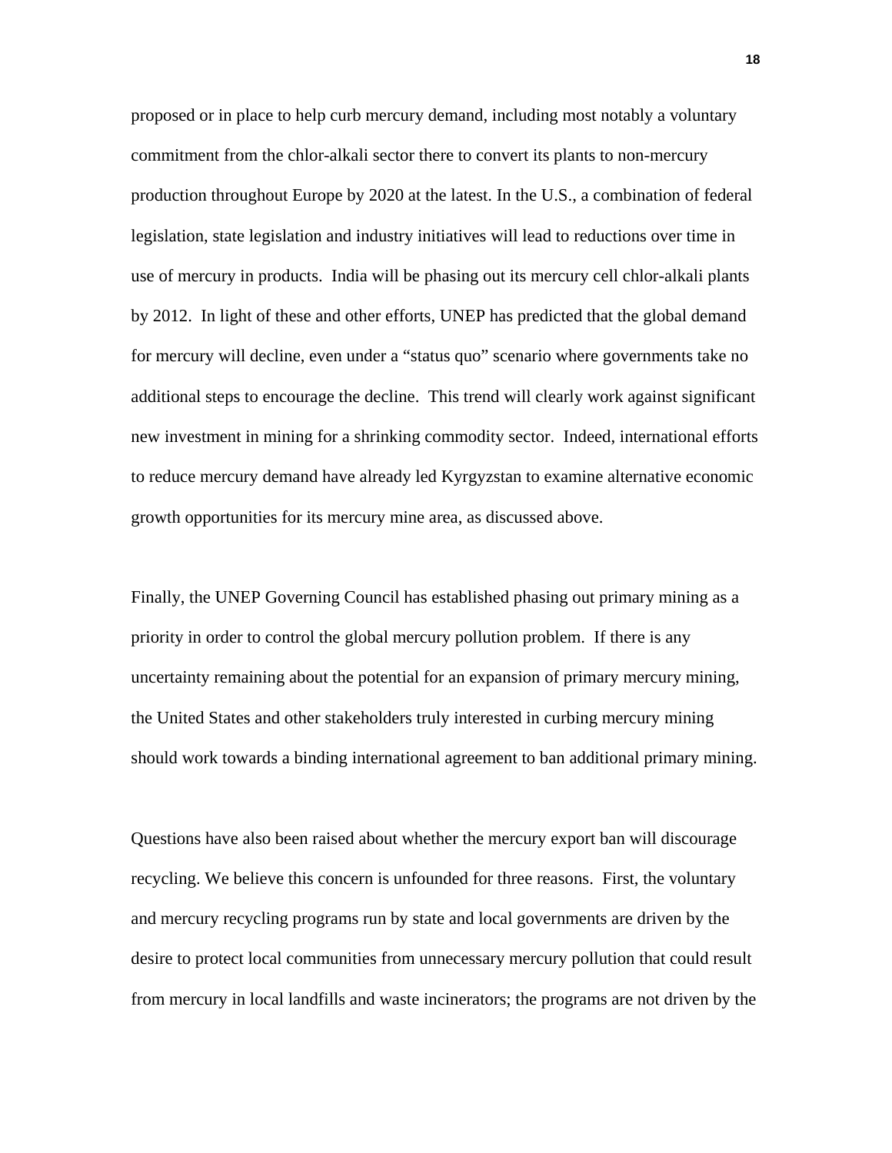proposed or in place to help curb mercury demand, including most notably a voluntary commitment from the chlor-alkali sector there to convert its plants to non-mercury production throughout Europe by 2020 at the latest. In the U.S., a combination of federal legislation, state legislation and industry initiatives will lead to reductions over time in use of mercury in products. India will be phasing out its mercury cell chlor-alkali plants by 2012. In light of these and other efforts, UNEP has predicted that the global demand for mercury will decline, even under a "status quo" scenario where governments take no additional steps to encourage the decline. This trend will clearly work against significant new investment in mining for a shrinking commodity sector. Indeed, international efforts to reduce mercury demand have already led Kyrgyzstan to examine alternative economic growth opportunities for its mercury mine area, as discussed above.

Finally, the UNEP Governing Council has established phasing out primary mining as a priority in order to control the global mercury pollution problem. If there is any uncertainty remaining about the potential for an expansion of primary mercury mining, the United States and other stakeholders truly interested in curbing mercury mining should work towards a binding international agreement to ban additional primary mining.

Questions have also been raised about whether the mercury export ban will discourage recycling. We believe this concern is unfounded for three reasons. First, the voluntary and mercury recycling programs run by state and local governments are driven by the desire to protect local communities from unnecessary mercury pollution that could result from mercury in local landfills and waste incinerators; the programs are not driven by the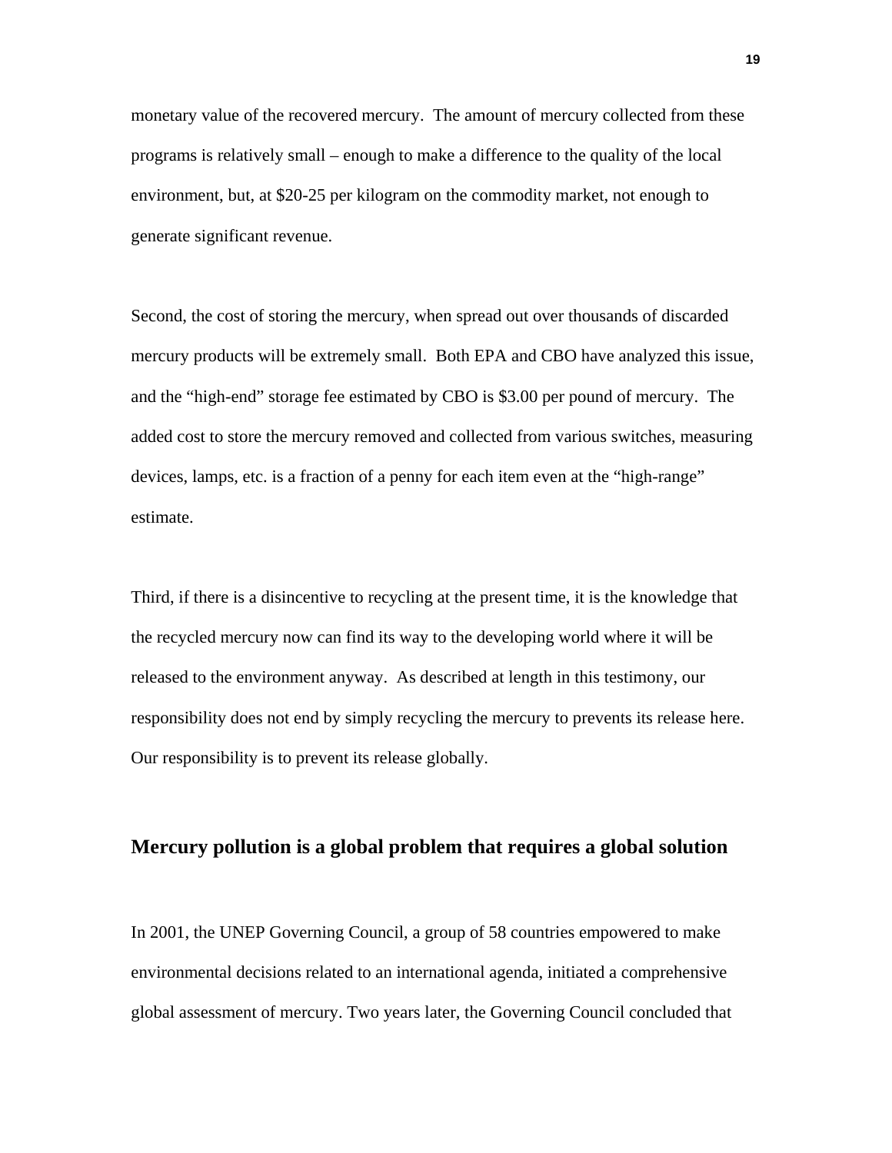monetary value of the recovered mercury. The amount of mercury collected from these programs is relatively small – enough to make a difference to the quality of the local environment, but, at \$20-25 per kilogram on the commodity market, not enough to generate significant revenue.

Second, the cost of storing the mercury, when spread out over thousands of discarded mercury products will be extremely small. Both EPA and CBO have analyzed this issue, and the "high-end" storage fee estimated by CBO is \$3.00 per pound of mercury. The added cost to store the mercury removed and collected from various switches, measuring devices, lamps, etc. is a fraction of a penny for each item even at the "high-range" estimate.

Third, if there is a disincentive to recycling at the present time, it is the knowledge that the recycled mercury now can find its way to the developing world where it will be released to the environment anyway. As described at length in this testimony, our responsibility does not end by simply recycling the mercury to prevents its release here. Our responsibility is to prevent its release globally.

# **Mercury pollution is a global problem that requires a global solution**

In 2001, the UNEP Governing Council, a group of 58 countries empowered to make environmental decisions related to an international agenda, initiated a comprehensive global assessment of mercury. Two years later, the Governing Council concluded that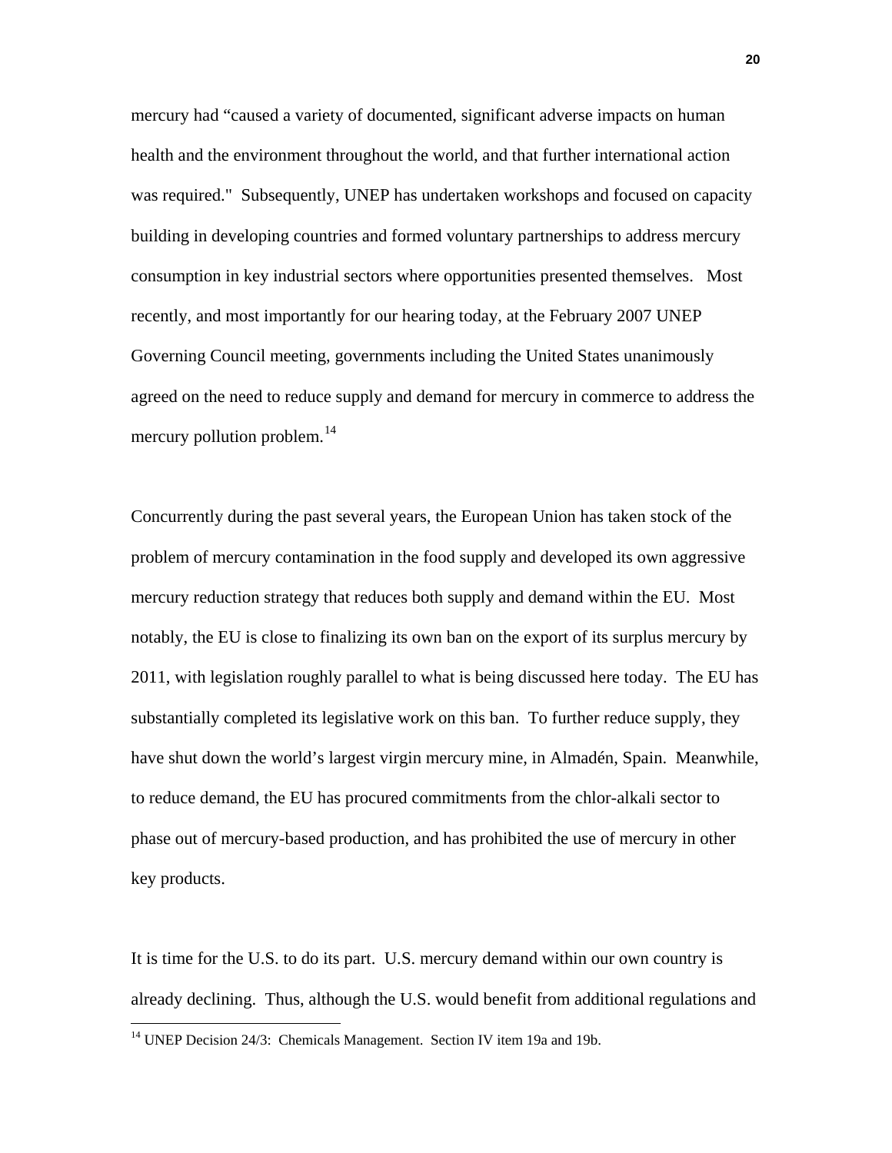mercury had "caused a variety of documented, significant adverse impacts on human health and the environment throughout the world, and that further international action was required." Subsequently, UNEP has undertaken workshops and focused on capacity building in developing countries and formed voluntary partnerships to address mercury consumption in key industrial sectors where opportunities presented themselves. Most recently, and most importantly for our hearing today, at the February 2007 UNEP Governing Council meeting, governments including the United States unanimously agreed on the need to reduce supply and demand for mercury in commerce to address the mercury pollution problem.<sup>[14](#page-19-0)</sup>

Concurrently during the past several years, the European Union has taken stock of the problem of mercury contamination in the food supply and developed its own aggressive mercury reduction strategy that reduces both supply and demand within the EU. Most notably, the EU is close to finalizing its own ban on the export of its surplus mercury by 2011, with legislation roughly parallel to what is being discussed here today. The EU has substantially completed its legislative work on this ban. To further reduce supply, they have shut down the world's largest virgin mercury mine, in Almadén, Spain. Meanwhile, to reduce demand, the EU has procured commitments from the chlor-alkali sector to phase out of mercury-based production, and has prohibited the use of mercury in other key products.

It is time for the U.S. to do its part. U.S. mercury demand within our own country is already declining. Thus, although the U.S. would benefit from additional regulations and

<span id="page-19-0"></span><sup>&</sup>lt;sup>14</sup> UNEP Decision 24/3: Chemicals Management. Section IV item 19a and 19b.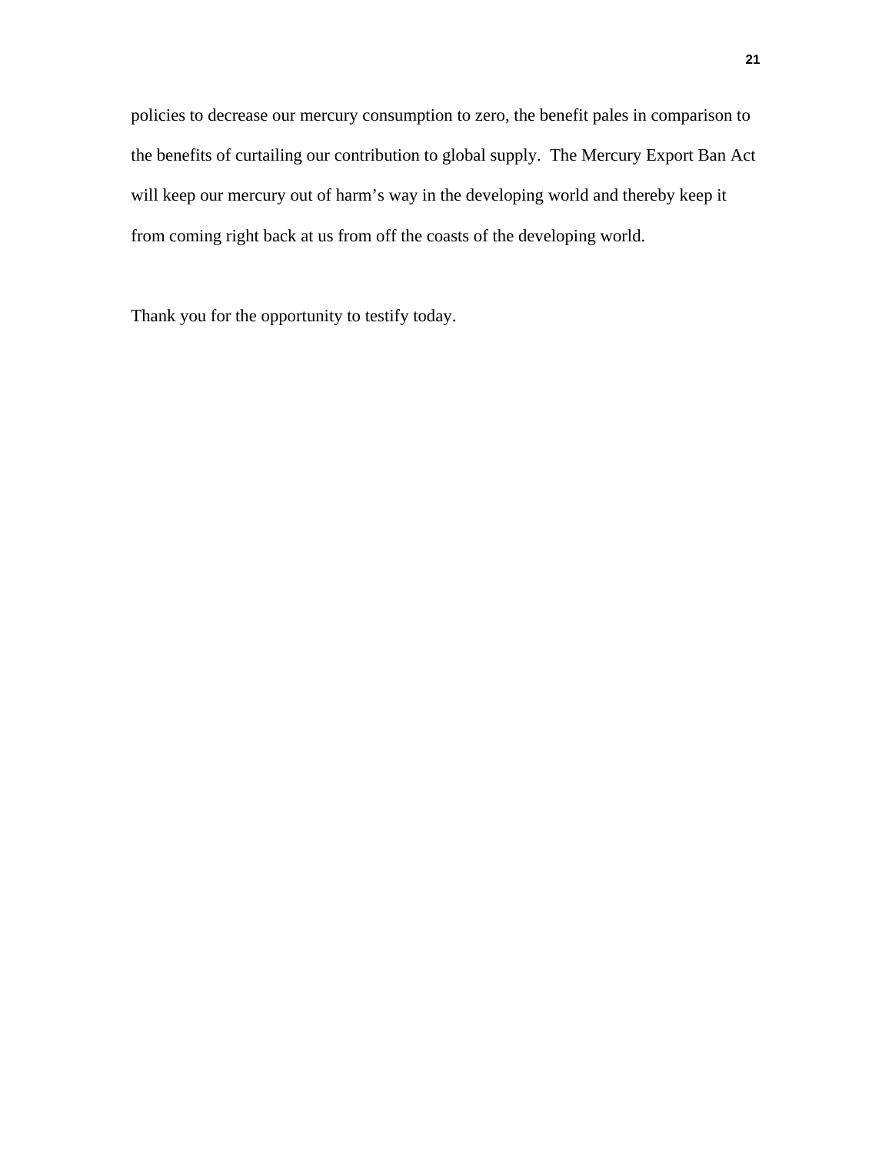policies to decrease our mercury consumption to zero, the benefit pales in comparison to the benefits of curtailing our contribution to global supply. The Mercury Export Ban Act will keep our mercury out of harm's way in the developing world and thereby keep it from coming right back at us from off the coasts of the developing world.

Thank you for the opportunity to testify today.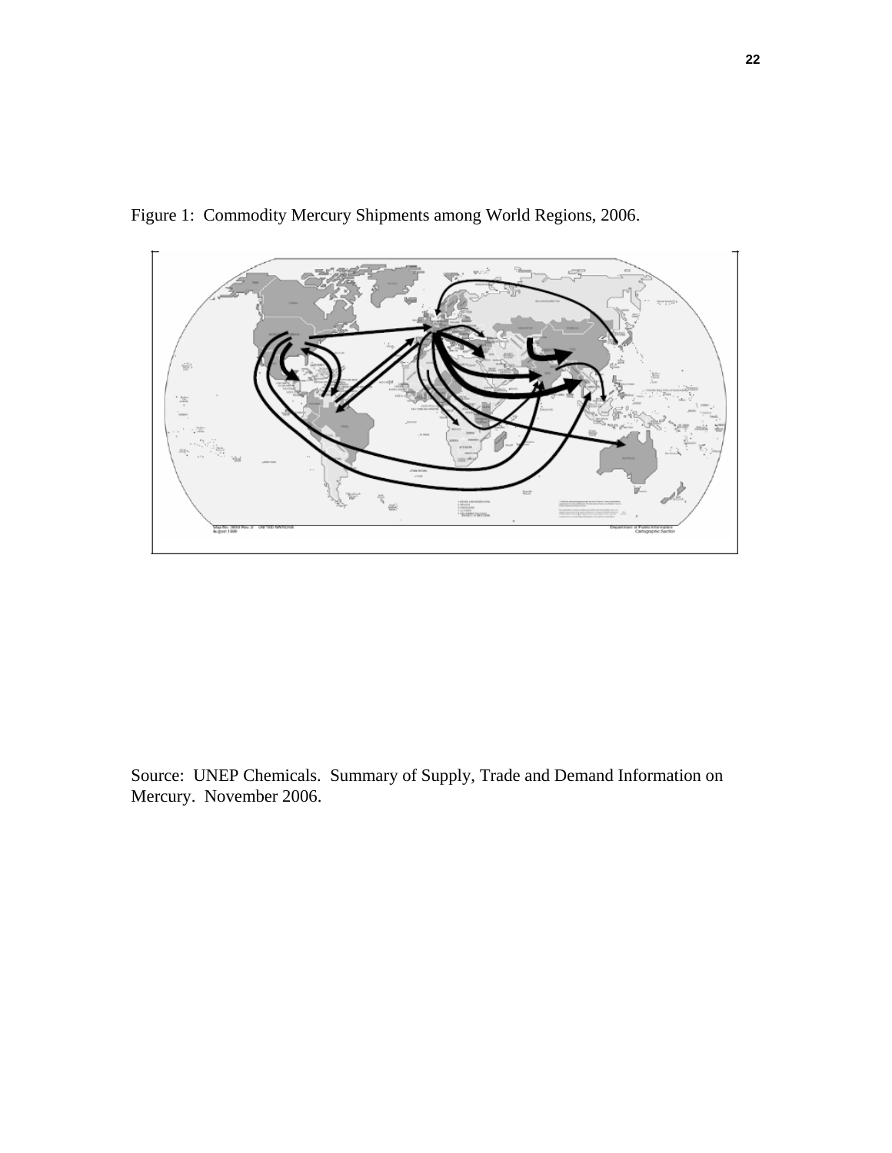

Figure 1: Commodity Mercury Shipments among World Regions, 2006.

Source: UNEP Chemicals. Summary of Supply, Trade and Demand Information on Mercury. November 2006.